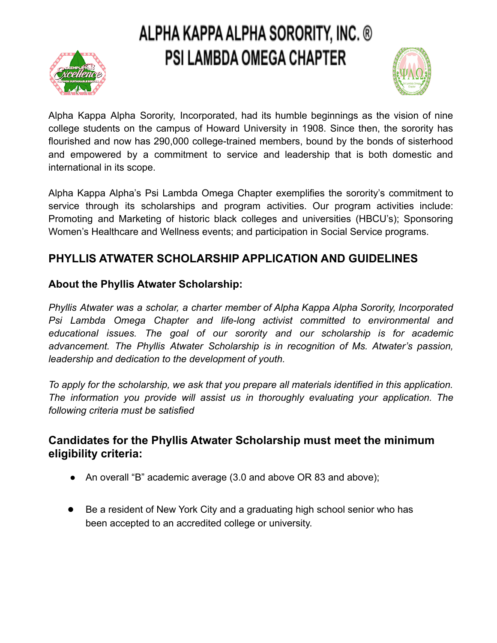



Alpha Kappa Alpha Sorority, Incorporated, had its humble beginnings as the vision of nine college students on the campus of Howard University in 1908. Since then, the sorority has flourished and now has 290,000 college-trained members, bound by the bonds of sisterhood and empowered by a commitment to service and leadership that is both domestic and international in its scope.

Alpha Kappa Alpha's Psi Lambda Omega Chapter exemplifies the sorority's commitment to service through its scholarships and program activities. Our program activities include: Promoting and Marketing of historic black colleges and universities (HBCU's); Sponsoring Women's Healthcare and Wellness events; and participation in Social Service programs.

### **PHYLLIS ATWATER SCHOLARSHIP APPLICATION AND GUIDELINES**

### **About the Phyllis Atwater Scholarship:**

*Phyllis Atwater was a scholar, a charter member of Alpha Kappa Alpha Sorority, Incorporated Psi Lambda Omega Chapter and life-long activist committed to environmental and educational issues. The goal of our sorority and our scholarship is for academic advancement. The Phyllis Atwater Scholarship is in recognition of Ms. Atwater's passion, leadership and dedication to the development of youth.*

*To apply for the scholarship, we ask that you prepare all materials identified in this application. The information you provide will assist us in thoroughly evaluating your application. The following criteria must be satisfied*

### **Candidates for the Phyllis Atwater Scholarship must meet the minimum eligibility criteria:**

- An overall "B" academic average (3.0 and above OR 83 and above);
- Be a resident of New York City and a graduating high school senior who has been accepted to an accredited college or university.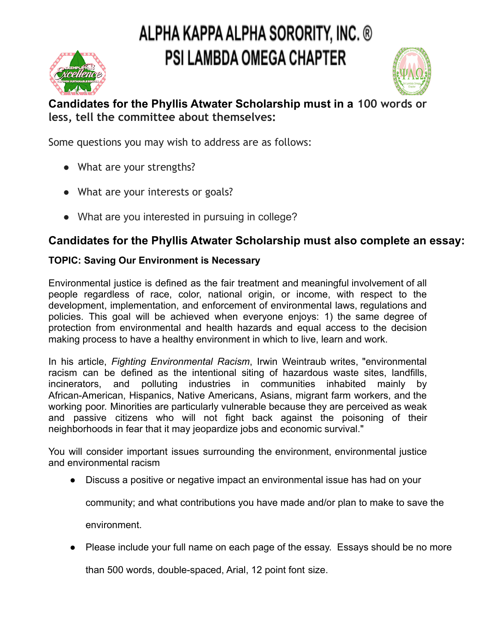

### **Candidates for the Phyllis Atwater Scholarship must in a 100 words or less, tell the committee about themselves:**

Some questions you may wish to address are as follows:

- What are your strengths?
- What are your interests or goals?
- What are you interested in pursuing in college?

### **Candidates for the Phyllis Atwater Scholarship must also complete an essay:**

### **TOPIC: Saving Our Environment is Necessary**

Environmental justice is defined as the fair treatment and meaningful involvement of all people regardless of race, color, national origin, or income, with respect to the development, implementation, and enforcement of environmental laws, regulations and policies. This goal will be achieved when everyone enjoys: 1) the same degree of protection from environmental and health hazards and equal access to the decision making process to have a healthy environment in which to live, learn and work.

In his article, *Fighting Environmental Racism*, Irwin Weintraub writes, "environmental racism can be defined as the intentional siting of hazardous waste sites, landfills, incinerators, and polluting industries in communities inhabited mainly by African-American, Hispanics, Native Americans, Asians, migrant farm workers, and the working poor. Minorities are particularly vulnerable because they are perceived as weak and passive citizens who will not fight back against the poisoning of their neighborhoods in fear that it may jeopardize jobs and economic survival."

You will consider important issues surrounding the environment, environmental justice and environmental racism

● Discuss a positive or negative impact an environmental issue has had on your

community; and what contributions you have made and/or plan to make to save the

environment.

● Please include your full name on each page of the essay. Essays should be no more

than 500 words, double-spaced, Arial, 12 point font size.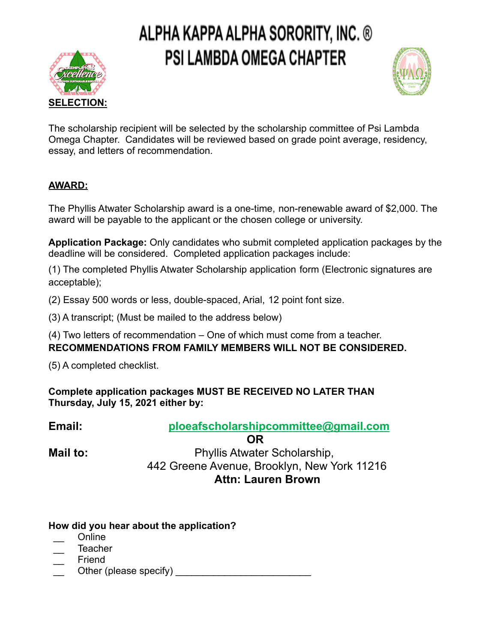



The scholarship recipient will be selected by the scholarship committee of Psi Lambda Omega Chapter. Candidates will be reviewed based on grade point average, residency, essay, and letters of recommendation.

#### **AWARD:**

The Phyllis Atwater Scholarship award is a one-time, non-renewable award of \$2,000. The award will be payable to the applicant or the chosen college or university.

**Application Package:** Only candidates who submit completed application packages by the deadline will be considered. Completed application packages include:

(1) The completed Phyllis Atwater Scholarship application form (Electronic signatures are acceptable);

(2) Essay 500 words or less, double-spaced, Arial, 12 point font size.

(3) A transcript; (Must be mailed to the address below)

(4) Two letters of recommendation – One of which must come from a teacher. **RECOMMENDATIONS FROM FAMILY MEMBERS WILL NOT BE CONSIDERED.**

(5) A completed checklist.

**Complete application packages MUST BE RECEIVED NO LATER THAN Thursday, July 15, 2021 either by:**

**Email: ploeafscholarshipcommittee@gmail.com**

**OR**

**Mail to:** Phyllis Atwater Scholarship, 442 Greene Avenue, Brooklyn, New York 11216 **Attn: Lauren Brown**

#### **How did you hear about the application?**

- \_\_ Online
- \_\_ Teacher
- \_\_ Friend
- Other (please specify)  $\Box$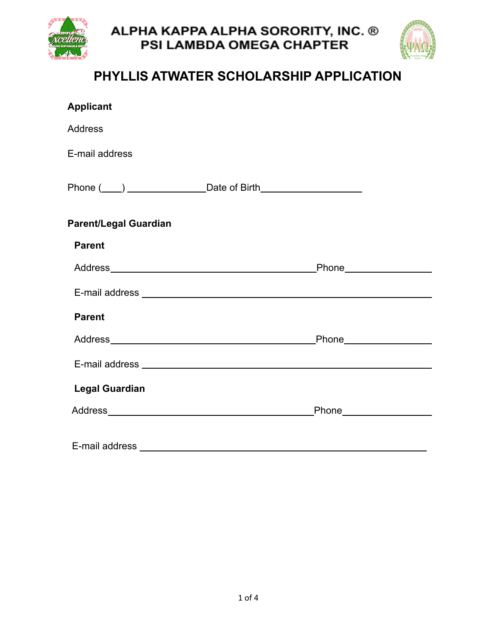



## **PHYLLIS ATWATER SCHOLARSHIP APPLICATION**

| <b>Applicant</b>             |                         |
|------------------------------|-------------------------|
| <b>Address</b>               |                         |
| E-mail address               |                         |
|                              |                         |
| <b>Parent/Legal Guardian</b> |                         |
| <b>Parent</b>                |                         |
|                              | Phone <b>Example 20</b> |
|                              |                         |
| <b>Parent</b>                |                         |
|                              |                         |
|                              |                         |
| <b>Legal Guardian</b>        |                         |
|                              |                         |
| E-mail address               |                         |
|                              |                         |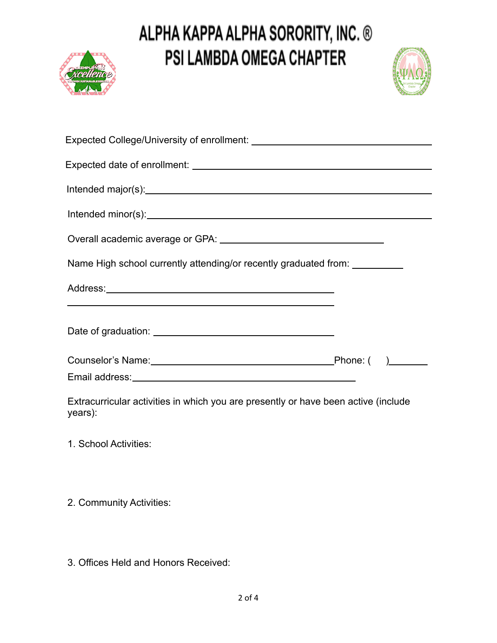



| Name High school currently attending/or recently graduated from: __________                                          |  |
|----------------------------------------------------------------------------------------------------------------------|--|
|                                                                                                                      |  |
| ,我们也不会有什么。""我们的人,我们也不会有什么?""我们的人,我们也不会有什么?""我们的人,我们也不会有什么?""我们的人,我们也不会有什么?""我们的人                                     |  |
| Email address: <u>contract and a series of the series of the series of the series of the series of the series of</u> |  |
|                                                                                                                      |  |

Extracurricular activities in which you are presently or have been active (include years):

1. School Activities:

2. Community Activities:

3. Offices Held and Honors Received: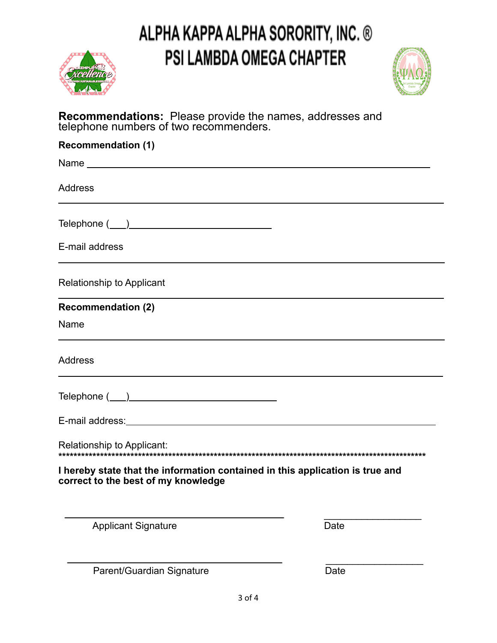



#### **Recommendations:** Please provide the names, addresses and telephone numbers of two recommenders.

| <b>Recommendation (1)</b>                                                                                            |
|----------------------------------------------------------------------------------------------------------------------|
|                                                                                                                      |
| <b>Address</b>                                                                                                       |
|                                                                                                                      |
| E-mail address                                                                                                       |
| Relationship to Applicant                                                                                            |
| <b>Recommendation (2)</b>                                                                                            |
| Name                                                                                                                 |
| <b>Address</b>                                                                                                       |
|                                                                                                                      |
|                                                                                                                      |
|                                                                                                                      |
| I hereby state that the information contained in this application is true and<br>correct to the best of my knowledge |
| <b>Applicant Signature</b><br>Date                                                                                   |

Parent/Guardian Signature **Date** Date

 $\_$